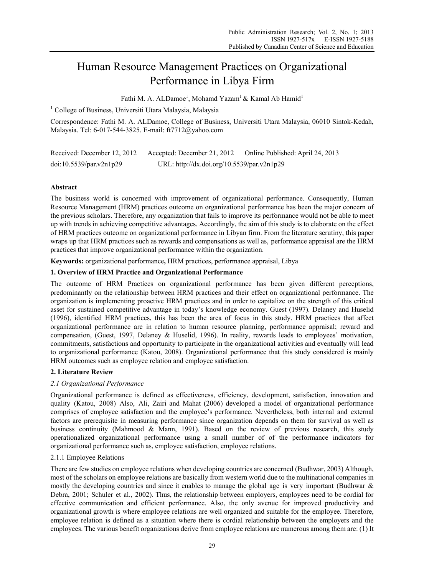# Human Resource Management Practices on Organizational Performance in Libya Firm

Fathi M. A. ALDamoe<sup>1</sup>, Mohamd Yazam<sup>1</sup> & Kamal Ab Hamid<sup>1</sup>

<sup>1</sup> College of Business, Universiti Utara Malaysia, Malaysia

Correspondence: Fathi M. A. ALDamoe, College of Business, Universiti Utara Malaysia, 06010 Sintok-Kedah, Malaysia. Tel: 6-017-544-3825. E-mail: ft7712@yahoo.com

| Received: December 12, 2012 | Accepted: December 21, 2012                | Online Published: April 24, 2013 |
|-----------------------------|--------------------------------------------|----------------------------------|
| doi:10.5539/par.v2n1p29     | URL: http://dx.doi.org/10.5539/par.v2n1p29 |                                  |

# **Abstract**

The business world is concerned with improvement of organizational performance. Consequently, Human Resource Management (HRM) practices outcome on organizational performance has been the major concern of the previous scholars. Therefore, any organization that fails to improve its performance would not be able to meet up with trends in achieving competitive advantages. Accordingly, the aim of this study is to elaborate on the effect of HRM practices outcome on organizational performance in Libyan firm. From the literature scrutiny, this paper wraps up that HRM practices such as rewards and compensations as well as, performance appraisal are the HRM practices that improve organizational performance within the organization.

**Keywords:** organizational performance**,** HRM practices, performance appraisal, Libya

## **1. Overview of HRM Practice and Organizational Performance**

The outcome of HRM Practices on organizational performance has been given different perceptions, predominantly on the relationship between HRM practices and their effect on organizational performance. The organization is implementing proactive HRM practices and in order to capitalize on the strength of this critical asset for sustained competitive advantage in today's knowledge economy. Guest (1997). Delaney and Huselid (1996), identified HRM practices, this has been the area of focus in this study. HRM practices that affect organizational performance are in relation to human resource planning, performance appraisal; reward and compensation, (Guest, 1997, Delaney & Huselid, 1996). In reality, rewards leads to employees' motivation, commitments, satisfactions and opportunity to participate in the organizational activities and eventually will lead to organizational performance (Katou, 2008). Organizational performance that this study considered is mainly HRM outcomes such as employee relation and employee satisfaction.

# **2. Literature Review**

# *2.1 Organizational Performance*

Organizational performance is defined as effectiveness, efficiency, development, satisfaction, innovation and quality (Katou, 2008) Also, Ali, Zairi and Mahat (2006) developed a model of organizational performance comprises of employee satisfaction and the employee's performance. Nevertheless, both internal and external factors are prerequisite in measuring performance since organization depends on them for survival as well as business continuity (Mahmood & Mann, 1991). Based on the review of previous research, this study operationalized organizational performance using a small number of of the performance indicators for organizational performance such as, employee satisfaction, employee relations.

# 2.1.1 Employee Relations

There are few studies on employee relations when developing countries are concerned (Budhwar, 2003) Although, most of the scholars on employee relations are basically from western world due to the multinational companies in mostly the developing countries and since it enables to manage the global age is very important (Budhwar & Debra, 2001; Schuler et al., 2002). Thus, the relationship between employers, employees need to be cordial for effective communication and efficient performance. Also, the only avenue for improved productivity and organizational growth is where employee relations are well organized and suitable for the employee. Therefore, employee relation is defined as a situation where there is cordial relationship between the employers and the employees. The various benefit organizations derive from employee relations are numerous among them are: (1) It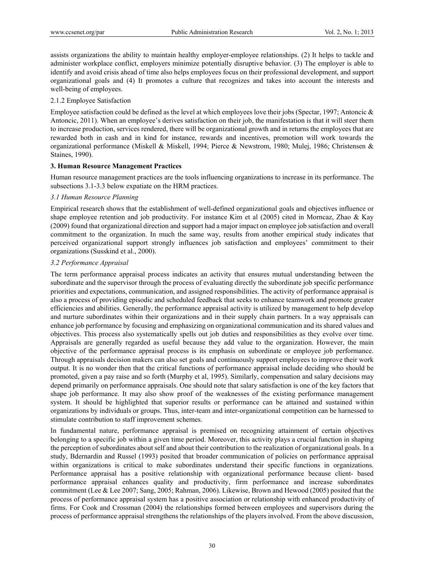assists organizations the ability to maintain healthy employer-employee relationships. (2) It helps to tackle and administer workplace conflict, employers minimize potentially disruptive behavior. (3) The employer is able to identify and avoid crisis ahead of time also helps employees focus on their professional development, and support organizational goals and (4) It promotes a culture that recognizes and takes into account the interests and well-being of employees.

## 2.1.2 Employee Satisfaction

Employee satisfaction could be defined as the level at which employees love their jobs (Spectar, 1997; Antoncic  $\&$ Antoncic, 2011). When an employee's derives satisfaction on their job, the manifestation is that it will steer them to increase production, services rendered, there will be organizational growth and in returns the employees that are rewarded both in cash and in kind for instance, rewards and incentives, promotion will work towards the organizational performance (Miskell & Miskell, 1994; Pierce & Newstrom, 1980; Mulej, 1986; Christensen & Staines, 1990).

### **3. Human Resource Management Practices**

Human resource management practices are the tools influencing organizations to increase in its performance. The subsections 3.1-3.3 below expatiate on the HRM practices.

### *3.1 Human Resource Planning*

Empirical research shows that the establishment of well-defined organizational goals and objectives influence or shape employee retention and job productivity. For instance Kim et al (2005) cited in Morncaz, Zhao & Kay (2009) found that organizational direction and support had a major impact on employee job satisfaction and overall commitment to the organization. In much the same way, results from another empirical study indicates that perceived organizational support strongly influences job satisfaction and employees' commitment to their organizations (Susskind et al., 2000).

### *3.2 Performance Appraisal*

The term performance appraisal process indicates an activity that ensures mutual understanding between the subordinate and the supervisor through the process of evaluating directly the subordinate job specific performance priorities and expectations, communication, and assigned responsibilities. The activity of performance appraisal is also a process of providing episodic and scheduled feedback that seeks to enhance teamwork and promote greater efficiencies and abilities. Generally, the performance appraisal activity is utilized by management to help develop and nurture subordinates within their organizations and in their supply chain partners. In a way appraisals can enhance job performance by focusing and emphasizing on organizational communication and its shared values and objectives. This process also systematically spells out job duties and responsibilities as they evolve over time. Appraisals are generally regarded as useful because they add value to the organization. However, the main objective of the performance appraisal process is its emphasis on subordinate or employee job performance. Through appraisals decision makers can also set goals and continuously support employees to improve their work output. It is no wonder then that the critical functions of performance appraisal include deciding who should be promoted, given a pay raise and so forth (Murphy et al, 1995). Similarly, compensation and salary decisions may depend primarily on performance appraisals. One should note that salary satisfaction is one of the key factors that shape job performance. It may also show proof of the weaknesses of the existing performance management system. It should be highlighted that superior results or performance can be attained and sustained within organizations by individuals or groups. Thus, inter-team and inter-organizational competition can be harnessed to stimulate contribution to staff improvement schemes.

In fundamental nature, performance appraisal is premised on recognizing attainment of certain objectives belonging to a specific job within a given time period. Moreover, this activity plays a crucial function in shaping the perception of subordinates about self and about their contribution to the realization of organizational goals. In a study, Bdernardin and Russel (1993) posited that broader communication of policies on performance appraisal within organizations is critical to make subordinates understand their specific functions in organizations. Performance appraisal has a positive relationship with organizational performance because client- based performance appraisal enhances quality and productivity, firm performance and increase subordinates commitment (Lee & Lee 2007; Sang, 2005; Rahman, 2006). Likewise, Brown and Hewood (2005) posited that the process of performance appraisal system has a positive association or relationship with enhanced productivity of firms. For Cook and Crossman (2004) the relationships formed between employees and supervisors during the process of performance appraisal strengthens the relationships of the players involved. From the above discussion,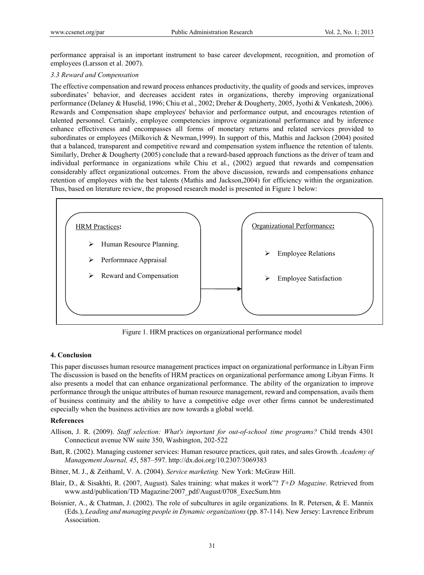performance appraisal is an important instrument to base career development, recognition, and promotion of employees (Larsson et al. 2007).

#### *3.3 Reward and Compensation*

The effective compensation and reward process enhances productivity, the quality of goods and services, improves subordinates' behavior, and decreases accident rates in organizations, thereby improving organizational performance (Delaney & Huselid, 1996; Chiu et al., 2002; Dreher & Dougherty, 2005, Jyothi & Venkatesh, 2006). Rewards and Compensation shape employees' behavior and performance output, and encourages retention of talented personnel. Certainly, employee competencies improve organizational performance and by inference enhance effectiveness and encompasses all forms of monetary returns and related services provided to subordinates or employees (Milkovich & Newman,1999). In support of this, Mathis and Jackson (2004) posited that a balanced, transparent and competitive reward and compensation system influence the retention of talents. Similarly, Dreher & Dougherty (2005) conclude that a reward-based approach functions as the driver of team and individual performance in organizations while Chiu et al., (2002) argued that rewards and compensation considerably affect organizational outcomes. From the above discussion, rewards and compensations enhance retention of employees with the best talents (Mathis and Jackson,2004) for efficiency within the organization. Thus, based on literature review, the proposed research model is presented in Figure 1 below:



Figure 1. HRM practices on organizational performance model

#### **4. Conclusion**

This paper discusses human resource management practices impact on organizational performance in Libyan Firm The discussion is based on the benefits of HRM practices on organizational performance among Libyan Firms. It also presents a model that can enhance organizational performance. The ability of the organization to improve performance through the unique attributes of human resource management, reward and compensation, avails them of business continuity and the ability to have a competitive edge over other firms cannot be underestimated especially when the business activities are now towards a global world.

#### **References**

- Allison, J. R. (2009). *Staff selection: What's important for out-of-school time programs?* Child trends 4301 Connecticut avenue NW suite 350, Washington, 202-522
- Batt, R. (2002). Managing customer services: Human resource practices, quit rates, and sales Growth. *Academy of Management Journal, 45*, 587–597. http://dx.doi.org/10.2307/3069383

Bitner, M. J., & Zeithaml, V. A. (2004). *Service marketing.* New York: McGraw Hill.

- Blair, D., & Sisakhti, R. (2007, August). Sales training: what makes it work"? *T+D Magazine*. Retrieved from www.astd/publication/TD Magazine/2007\_pdf/August/0708\_ExecSum.htm
- Boisnier, A., & Chatman, J. (2002). The role of subcultures in agile organizations. In R. Petersen, & E. Mannix (Eds.), *Leading and managing people in Dynamic organizations* (pp. 87-114). New Jersey: Lavrence Eribrum Association.